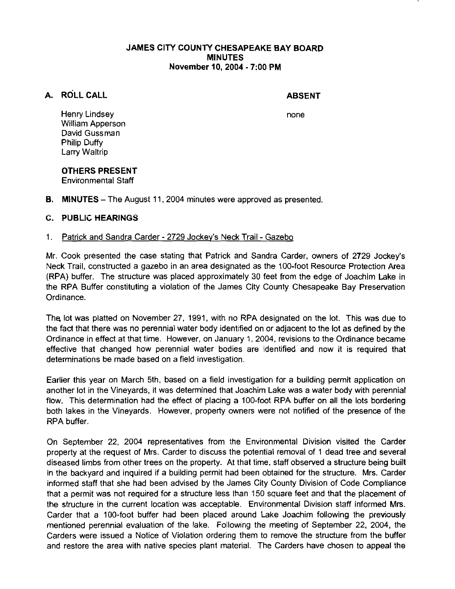### JAMES CITY COUNTY CHESAPEAKE BAY BOARD MINUTES November 10,2004 - 7:00 PM

# A. ROLL CALL

## ABSENT

none

Henry Lindsey William Apperson David Gussman Philip Duffy Larry Waltrip

# OTHERS PRESENT

Environmental Staff

**B.** MINUTES – The August 11, 2004 minutes were approved as presented.

# C. PUBLIC HEARINGS

## 1. Patrick and Sandra Carder - 2729 Jockey's Neck Trail - Gazebo

Mr. Cook presented the case stating that Patrick and Sandra Carder, owners of 2729 Jockey's Neck Trail, constructed a gazebo in an area designated as the 100-foot Resource Protection Area (RPA) buffer. The structure was placed approximately 30 feet from the edge of Joachim Lake in the RPA Buffer constituting a violation of the James City County Chesapeake Bay Preservation Ordinance.

The lot was platted on November 27. 1991, with no RPA designated on the lot. This was due to the fact that there was no perennial water body identified on or adjacent to the lot as defined by the Ordinance in effect at that time. However, on January 1, 2004, revisions to the Ordinance became effective that changed how perennial water bodies are identified and now it is required that determinations be made based on a field investigation.

Earlier this year on March 5th, based on a field investigation for a building permit application on another lot in the Vineyards, it was determined that Joachim Lake was a water body with perennial flow. This determination had the effect of placing a 100-foot RPA buffer on all the lots bordering both lakes in the Vineyards. However, property owners were not notified of the presence of the RPA buffer.

On September 22, 2004 representatives from the Environmental Division visited the Carder property at the request of Mrs. Carder to discuss the potential removal of 1 dead tree and several diseased limbs from other trees on the property. At that time, staff observed a structure being built in the backyard and inquired if a building permit had been obtained for the structure. Mrs. Carder informed staff that she had been advised by the James City County Division of Code Compliance that a permit was not required for a structure less than 150 square feet and that the placement of the structure in the current location was acceptable. Environmental Division staff informed Mrs. Carder that a 100-foot buffer had been placed around Lake Joachim following the previously mentioned perennial evaluation of the lake. Following the meeting of September 22, 2004, the Carders were issued a Notice of Violation ordering them to remove the structure from the buffer and restore the area with native species plant material. The Carders have chosen to appeal the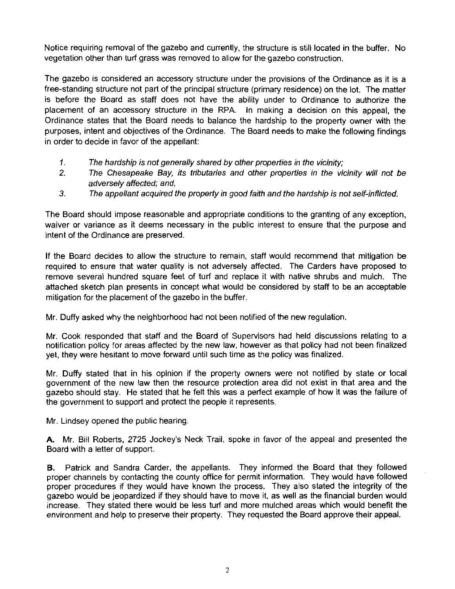Notice requiring removal of the gazebo and currently, the structure is still located in the buffer. No vegetation other than turf grass was removed to allow for the gazebo construction.

The gazebo is considered an accessory structure under the provisions of the Ordinance as it is a free-standing structure not part of the principal structure (primary residence) on the lot. The matter is before the Board as staff does not have the ability under to Ordinance to authorize the placement of an accessory structure in the RPA. In making a decision on this appeal, the Ordinance states that the Board needs to balance the hardship to the property owner with the purposes, intent and objectives of the Ordinance. The Board needs to make the following findings in order to decide in favor of the appellant:

- 1. The hardship is not generally shared by other properties in the vicinity;
- **2.** The Chesapeake Bay, its tributaries and other properties in the vicinity will not be adversely affected; and,
- **3.** The appellant acquired the property in good faith and the hardship is not self-inflicted.

The Board should impose reasonable and appropriate conditions to the granting of any exception, waiver or variance as it deems necessary in the public interest to ensure that the purpose and intent of the Ordinance are preserved.

If the Board decides to allow the structure to remain, staff would recommend that mitigation be required to ensure that water quality is not adversely affected. The Carders have proposed to remove several hundred square feet of turf and replace it with native shrubs and mulch. The attached sketch plan presents in concept what would be considered by staff to be an acceptable mitigation for the placement of the gazebo in the buffer.

Mr. Duffy asked why the neighborhood had not been notified of the new regulation.

Mr. Cook responded that staff and the Board of Supervisors had held discussions relating to a notification policy for areas affected by the new law, however as that policy had not been finalized yet, they were hesitant to move forward until such time as the policy was finalized.

Mr. Duffy stated that in his opinion if the property owners were not notified by state or local government of the new law then the resource protection area did not exist in that area and the gazebo should stay. He stated that he felt this was a perfect example of how it was the failure of the government to support and protect the people it represents.

Mr. Lindsey opened the public hearing.

**A.** Mr. Bill Roberts, 2725 Jockey's Neck Trail, spoke in favor of the appeal and presented the Board with a letter of support.

**B.** Patrick and Sandra Carder, the appellants. They informed the Board that they followed proper channels by contacting the county office for permit information. They would have followed proper procedures if they would have known the process. They also stated the integrity of the gazebo would be jeopardized if they should have to move it, as well as the financial burden would increase. They stated there would be less turf and more mulched areas which would benefit the environment and help to preserve their property. They requested the Board approve their appeal.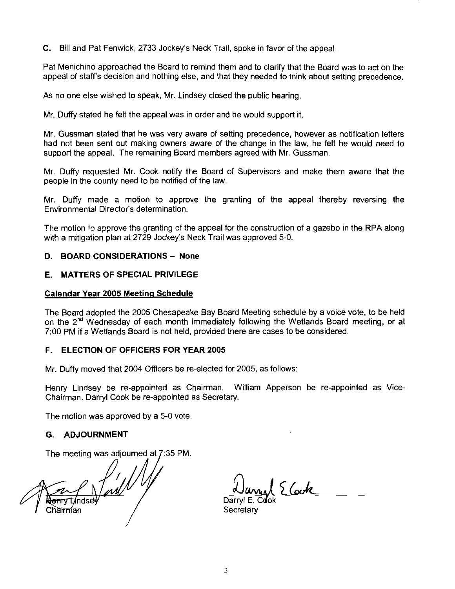C. Bill and Pat Fenwick, 2733 Jockey's Neck Trail, spoke in favor of the appeal

Pat Menichino approached the Board to remind them and to clarify that the Board was to act on the appeal of staffs decision and nothing else, and that they needed to think about setting precedence.

As no one else wished to speak, Mr. Lindsey closed the public hearing,

Mr. Duffy stated he felt the appeal was in order and he would support it.

Mr. Gussman stated that he was very aware of setting precedence, however as notification letters had not been sent out making owners aware of the change in the law, he felt he would need to support the appeal. The remaining Board members agreed with Mr. Gussman.

Mr. Duffy requested Mr. Cook notify the Board of Supervisors and make them aware that the people in the county need to be notified of the law.

Mr. Duffy made a motion to approve the granting of the appeal thereby reversing the Environmental Director's determination.

The motion to approve the granting of the appeal for the construction of a gazebo in the RPA along with a mitigation plan at 2729 Jockey's Neck Trail was approved 5-0.

### D. BOARD CONSIDERATIONS - None

#### E. MATTERS OF SPECIAL PRIVILEGE

#### Calendar Year **2005** Meetinq Schedule

The Board adopted the 2005 Chesapeake Bay Board Meeting schedule by a voice vote, to be held on the 2<sup>nd</sup> Wednesday of each month immediately following the Wetlands Board meeting, or at 7:00 PM if a Wetlands Board is not held, provided there are cases to be considered.

#### F. ELECTION OF OFFICERS FOR YEAR **2005**

Mr. Duffy moved that 2004 Ofticers be re-elected for 2005, as follows:

Henry Lindsey be re-appointed as Chairman. William Apperson be re-appointed as Vice-Chairman. Darryl Cook be re-appointed as Secretary.

The motion was approved by a 5-0 vote

### G. ADJOURNMENT

The meeting was adjourned at 7:35 PM.

fail / Chairman

 $26$ 

Darryl E. Cook **Secretary**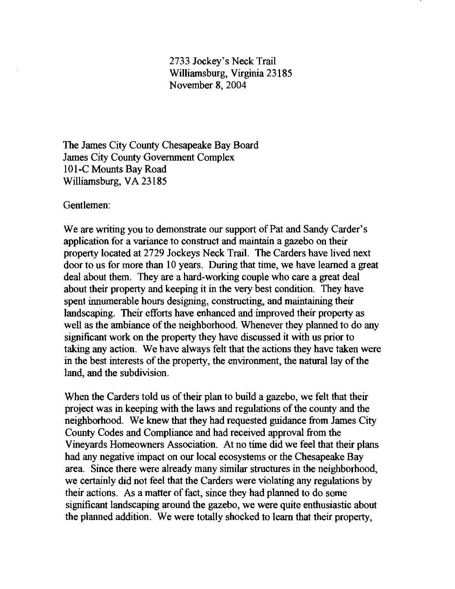2733 Jockey's Neck Trail Williamsburg, Virginia 23 185 November 8,2004

The James City County Chesapeake Bay Board James City County Government Complex 101-C Mounts Bay Road Williamsburg, VA 23185

Gentlemen:

We are writing you to demonstrate our support of Pat and Sandy Carder's application for a variance to construct and maintain a gazebo on their property located at 2729 Jockeys Neck Trail. The Carders have lived next door to us for more than 10 years. During that time, we have learned a great deal about them. They are a hard-working couple who care a great deal about their property and keeping it in the very best condition. They have spent innumerable hours designing, constructing, and maintaining their landscaping. Their efforts have enhanced and improved their property as well as the ambiance of the neighborhood. Whenever they planned to do any significant work on the property they have discussed it with us prior to taking any action. We have always felt that the actions they have taken were in the best interests of the property, the environment, the natural lay of the land, and the subdivision.

When the Carders told us of their plan to build a gazebo, we felt that their project was in keeping with the laws and regulations of the county and the neighborhood. We knew that they had requested guidance from James City County Codes and Compliance and had received approval from the Vineyards Homeowners Association. At no time did we feel that their plans had any negative impact on our local ecosystems or the Chesapeake Bay area. Since there were already many similar structures in the neighborhood, we certainly did not feel that the Carders were violating any regulations by their actions. As a matter of fact, since they had planned to do some sigmficant landscaping around the gazebo, we were quite enthusiastic about the planned addition. We were totally shocked to learn that their property,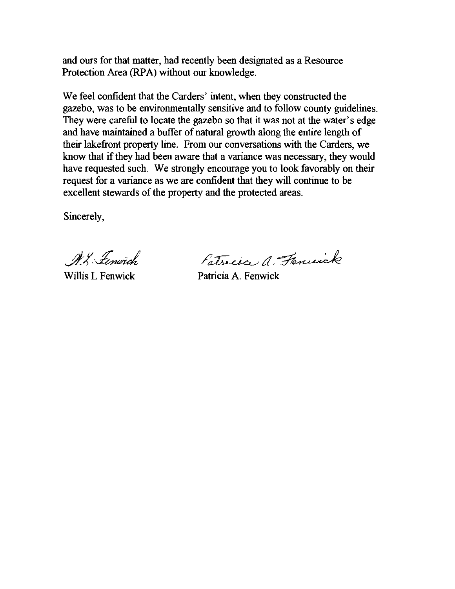and ours for that matter, had recently been designated as a Resource Protection Area (RPA) without our knowledge.

We feel confident that the Carders' intent, when they constructed the gazebo, was to be environmentally sensitive and to follow county guidelines. They were careful to locate the gazebo so that it was not at the water's edge and have maintained a buffer of natural growth along the entire length of their lakefront property line. From our conversations with the Carders, we know that if they had been aware that a variance was necessary, they would have requested such. We strongly encourage you to look favorably on their request for a variance as we are confident that they will continue to be excellent stewards of the property and the protected areas.

Sincerely,

W. Lenwich

Patricia a. Fennisk

Willis L Fenwick Patricia A. Fenwick